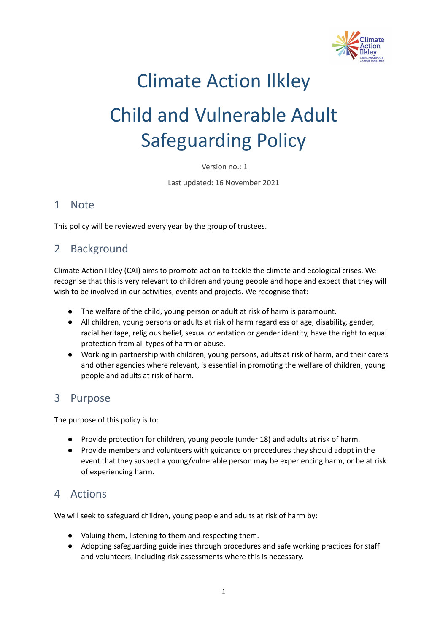

## Climate Action Ilkley Child and Vulnerable Adult

# Safeguarding Policy

Version no.: 1

Last updated: 16 November 2021

#### 1 Note

This policy will be reviewed every year by the group of trustees.

#### 2 Background

Climate Action Ilkley (CAI) aims to promote action to tackle the climate and ecological crises. We recognise that this is very relevant to children and young people and hope and expect that they will wish to be involved in our activities, events and projects. We recognise that:

- The welfare of the child, young person or adult at risk of harm is paramount.
- All children, young persons or adults at risk of harm regardless of age, disability, gender, racial heritage, religious belief, sexual orientation or gender identity, have the right to equal protection from all types of harm or abuse.
- Working in partnership with children, young persons, adults at risk of harm, and their carers and other agencies where relevant, is essential in promoting the welfare of children, young people and adults at risk of harm.

#### 3 Purpose

The purpose of this policy is to:

- Provide protection for children, young people (under 18) and adults at risk of harm.
- Provide members and volunteers with guidance on procedures they should adopt in the event that they suspect a young/vulnerable person may be experiencing harm, or be at risk of experiencing harm.

#### 4 Actions

We will seek to safeguard children, young people and adults at risk of harm by:

- Valuing them, listening to them and respecting them.
- Adopting safeguarding guidelines through procedures and safe working practices for staff and volunteers, including risk assessments where this is necessary.